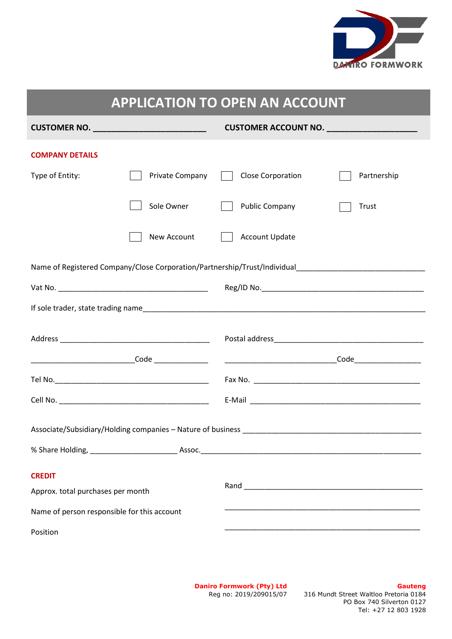

| <b>APPLICATION TO OPEN AN ACCOUNT</b>              |                 |                       |             |
|----------------------------------------------------|-----------------|-----------------------|-------------|
| CUSTOMER NO. _____________________________         |                 | CUSTOMER ACCOUNT NO.  |             |
| <b>COMPANY DETAILS</b>                             |                 |                       |             |
| Type of Entity:                                    | Private Company | Close Corporation     | Partnership |
|                                                    | Sole Owner      | <b>Public Company</b> | Trust       |
|                                                    | New Account     | <b>Account Update</b> |             |
|                                                    |                 |                       |             |
|                                                    |                 |                       |             |
|                                                    |                 |                       |             |
|                                                    |                 |                       |             |
|                                                    |                 |                       |             |
|                                                    |                 |                       |             |
|                                                    |                 |                       |             |
|                                                    |                 |                       |             |
|                                                    |                 |                       |             |
| <b>CREDIT</b><br>Approx. total purchases per month |                 |                       |             |
| Name of person responsible for this account        |                 |                       |             |
| Position                                           |                 |                       |             |

**Daniro Formwork (Pty) Ltd** Reg no: 2019/209015/07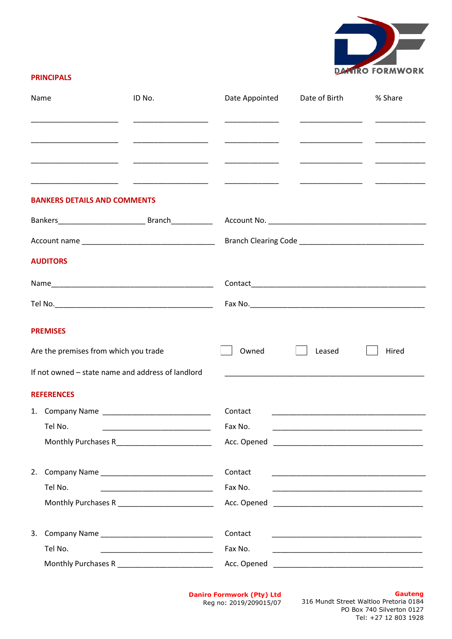

# **PRINCIPALS**

| Name                                              | ID No. | Date Appointed | Date of Birth                                                                                                           | % Share                                                                                                                                                                                                                                                                                                                                                                                                                                       |
|---------------------------------------------------|--------|----------------|-------------------------------------------------------------------------------------------------------------------------|-----------------------------------------------------------------------------------------------------------------------------------------------------------------------------------------------------------------------------------------------------------------------------------------------------------------------------------------------------------------------------------------------------------------------------------------------|
|                                                   |        |                |                                                                                                                         |                                                                                                                                                                                                                                                                                                                                                                                                                                               |
|                                                   |        |                |                                                                                                                         | $\frac{1}{1} \left( \frac{1}{1} \right)^{2} \left( \frac{1}{1} \right)^{2} \left( \frac{1}{1} \right)^{2} \left( \frac{1}{1} \right)^{2} \left( \frac{1}{1} \right)^{2} \left( \frac{1}{1} \right)^{2} \left( \frac{1}{1} \right)^{2} \left( \frac{1}{1} \right)^{2} \left( \frac{1}{1} \right)^{2} \left( \frac{1}{1} \right)^{2} \left( \frac{1}{1} \right)^{2} \left( \frac{1}{1} \right)^{2} \left( \frac{1}{1} \right)^{2} \left( \frac$ |
|                                                   |        |                |                                                                                                                         |                                                                                                                                                                                                                                                                                                                                                                                                                                               |
| <b>BANKERS DETAILS AND COMMENTS</b>               |        |                |                                                                                                                         |                                                                                                                                                                                                                                                                                                                                                                                                                                               |
|                                                   |        |                |                                                                                                                         |                                                                                                                                                                                                                                                                                                                                                                                                                                               |
|                                                   |        |                |                                                                                                                         |                                                                                                                                                                                                                                                                                                                                                                                                                                               |
| <b>AUDITORS</b>                                   |        |                |                                                                                                                         |                                                                                                                                                                                                                                                                                                                                                                                                                                               |
|                                                   |        |                |                                                                                                                         |                                                                                                                                                                                                                                                                                                                                                                                                                                               |
|                                                   |        |                |                                                                                                                         |                                                                                                                                                                                                                                                                                                                                                                                                                                               |
| <b>PREMISES</b>                                   |        |                |                                                                                                                         |                                                                                                                                                                                                                                                                                                                                                                                                                                               |
| Are the premises from which you trade             |        | Owned          | Leased                                                                                                                  | Hired                                                                                                                                                                                                                                                                                                                                                                                                                                         |
| If not owned – state name and address of landlord |        |                |                                                                                                                         |                                                                                                                                                                                                                                                                                                                                                                                                                                               |
| <b>REFERENCES</b>                                 |        |                |                                                                                                                         |                                                                                                                                                                                                                                                                                                                                                                                                                                               |
|                                                   |        | Contact        |                                                                                                                         |                                                                                                                                                                                                                                                                                                                                                                                                                                               |
| Tel No.                                           |        | Fax No.        |                                                                                                                         |                                                                                                                                                                                                                                                                                                                                                                                                                                               |
| Monthly Purchases R____________________________   |        |                |                                                                                                                         |                                                                                                                                                                                                                                                                                                                                                                                                                                               |
|                                                   |        | Contact        |                                                                                                                         |                                                                                                                                                                                                                                                                                                                                                                                                                                               |
| Tel No.                                           |        | Fax No.        |                                                                                                                         |                                                                                                                                                                                                                                                                                                                                                                                                                                               |
| Monthly Purchases R __________________________    |        |                |                                                                                                                         |                                                                                                                                                                                                                                                                                                                                                                                                                                               |
|                                                   |        | Contact        |                                                                                                                         |                                                                                                                                                                                                                                                                                                                                                                                                                                               |
| Tel No.                                           |        | Fax No.        | <u> 1989 - Johann John Stone, market fan de Amerikaanske kommunister fan de Amerikaanske kommunister fan de Amerika</u> |                                                                                                                                                                                                                                                                                                                                                                                                                                               |
| Monthly Purchases R _________________________     |        |                |                                                                                                                         |                                                                                                                                                                                                                                                                                                                                                                                                                                               |

**Daniro Formwork (Pty) Ltd** Reg no: 2019/209015/07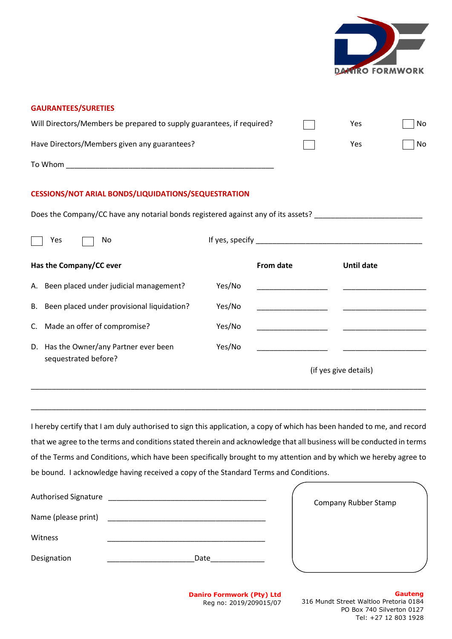

# **GAURANTEES/SURETIES** Will Directors/Members be prepared to supply guarantees, if required?  $\Box$  Yes  $\Box$  No Have Directors/Members given any guarantees? To Whom \_\_\_\_\_\_\_\_\_\_\_\_\_\_\_\_\_\_\_\_\_\_\_\_\_\_\_\_\_\_\_\_\_\_\_\_\_\_\_\_\_\_\_\_\_\_\_\_\_\_ Yes No **CESSIONS/NOT ARIAL BONDS/LIQUIDATIONS/SEQUESTRATION** Does the Company/CC have any notarial bonds registered against any of its assets?  $Yes$  No If yes, specify **Has the Company/CC ever** A. Been placed under judicial management? B. Been placed under provisional liquidation? C. Made an offer of compromise? D. Has the Owner/any Partner ever been sequestrated before? Yes/No Yes/No Yes/No Yes/No **From date** \_\_\_\_\_\_\_\_\_\_\_\_\_\_\_\_\_ \_\_\_\_\_\_\_\_\_\_\_\_\_\_\_\_\_ \_\_\_\_\_\_\_\_\_\_\_\_\_\_\_\_\_ \_\_\_\_\_\_\_\_\_\_\_\_\_\_\_\_\_ **Until date**  $\overline{\phantom{a}}$  , and the set of the set of the set of the set of the set of the set of the set of the set of the set of the set of the set of the set of the set of the set of the set of the set of the set of the set of the s \_\_\_\_\_\_\_\_\_\_\_\_\_\_\_\_\_\_\_\_  $\overline{\phantom{a}}$  , and the set of the set of the set of the set of the set of the set of the set of the set of the set of the set of the set of the set of the set of the set of the set of the set of the set of the set of the s \_\_\_\_\_\_\_\_\_\_\_\_\_\_\_\_\_\_\_\_ (if yes give details)

I hereby certify that I am duly authorised to sign this application, a copy of which has been handed to me, and record that we agree to the terms and conditions stated therein and acknowledge that all business will be conducted in terms of the Terms and Conditions, which have been specifically brought to my attention and by which we hereby agree to be bound. I acknowledge having received a copy of the Standard Terms and Conditions.

\_\_\_\_\_\_\_\_\_\_\_\_\_\_\_\_\_\_\_\_\_\_\_\_\_\_\_\_\_\_\_\_\_\_\_\_\_\_\_\_\_\_\_\_\_\_\_\_\_\_\_\_\_\_\_\_\_\_\_\_\_\_\_\_\_\_\_\_\_\_\_\_\_\_\_\_\_\_\_\_\_\_\_\_\_\_\_\_\_\_\_\_\_\_\_

\_\_\_\_\_\_\_\_\_\_\_\_\_\_\_\_\_\_\_\_\_\_\_\_\_\_\_\_\_\_\_\_\_\_\_\_\_\_\_\_\_\_\_\_\_\_\_\_\_\_\_\_\_\_\_\_\_\_\_\_\_\_\_\_\_\_\_\_\_\_\_\_\_\_\_\_\_\_\_\_\_\_\_\_\_\_\_\_\_\_\_\_\_\_\_

| <b>Authorised Signature</b> |      | Company Rubber Stamp |  |
|-----------------------------|------|----------------------|--|
| Name (please print)         |      |                      |  |
| Witness                     |      |                      |  |
| Designation                 | Date |                      |  |

**Daniro Formwork (Pty) Ltd** Reg no: 2019/209015/07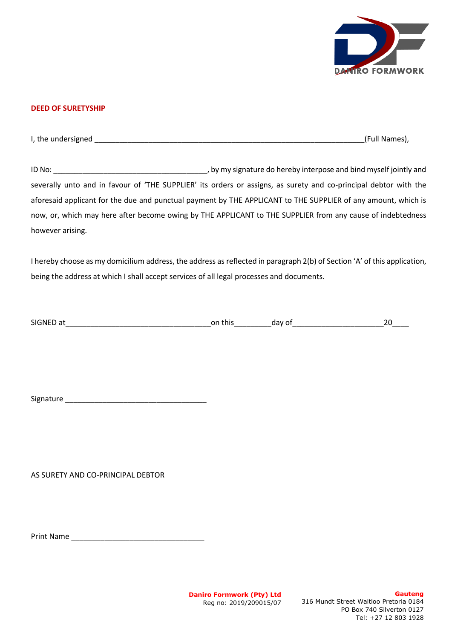

# **DEED OF SURETYSHIP**

I, the undersigned (Full Names),

ID No: \_\_\_\_\_\_\_\_\_\_\_\_\_\_\_\_\_\_\_\_\_\_\_\_\_\_\_\_\_\_\_\_\_\_\_\_\_, by my signature do hereby interpose and bind myself jointly and severally unto and in favour of 'THE SUPPLIER' its orders or assigns, as surety and co-principal debtor with the aforesaid applicant for the due and punctual payment by THE APPLICANT to THE SUPPLIER of any amount, which is now, or, which may here after become owing by THE APPLICANT to THE SUPPLIER from any cause of indebtedness however arising.

I hereby choose as my domicilium address, the address as reflected in paragraph 2(b) of Section 'A' of this application, being the address at which I shall accept services of all legal processes and documents.

| <b>SIGNED</b> | this | $\sim$ | - |
|---------------|------|--------|---|
| a             | or   | . JdV  |   |
| __            | __   |        |   |

Signature \_\_\_\_\_\_\_\_\_\_\_\_\_\_\_\_\_\_\_\_\_\_\_\_\_\_\_\_\_\_\_\_\_\_

AS SURETY AND CO-PRINCIPAL DEBTOR

Print Name \_\_\_\_\_\_\_\_\_\_\_\_\_\_\_\_\_\_\_\_\_\_\_\_\_\_\_\_\_\_\_\_

**Daniro Formwork (Pty) Ltd** Reg no: 2019/209015/07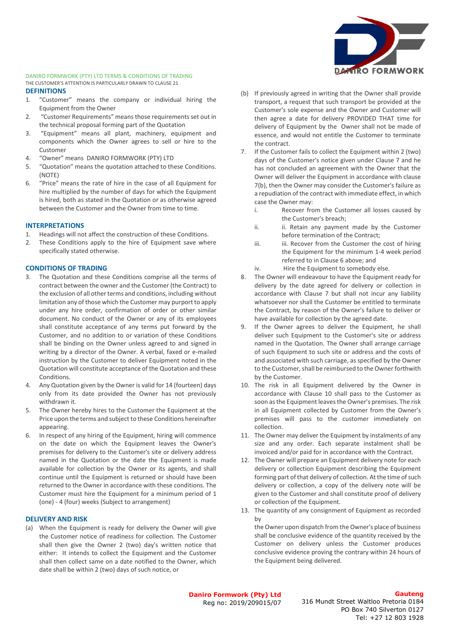# **DANIRO FORMWORK**

### DANIRO FORMWORK (PTY) LTD TERMS & CONDITIONS OF TRADING THE CUSTOMER'S ATTENTION IS PARTICULARLY DRAWN TO CLAUSE 21

### **DEFINITIONS**

- 1. "Customer" means the company or individual hiring the Equipment from the Owner
- 2. "Customer Requirements" means those requirements set out in the technical proposal forming part of the Quotation
- 3. "Equipment" means all plant, machinery, equipment and components which the Owner agrees to sell or hire to the Customer
- 4. "Owner" means DANIRO FORMWORK (PTY) LTD
- 5. "Quotation" means the quotation attached to these Conditions. (NOTE)
- 6. "Price" means the rate of hire in the case of all Equipment for hire multiplied by the number of days for which the Equipment is hired, both as stated in the Quotation or as otherwise agreed between the Customer and the Owner from time to time.

### **INTERPRETATIONS**

- 1. Headings will not affect the construction of these Conditions.
- 2. These Conditions apply to the hire of Equipment save where specifically stated otherwise.

## **CONDITIONS OF TRADING**

- The Quotation and these Conditions comprise all the terms of contract between the owner and the Customer (the Contract) to the exclusion of all other terms and conditions, including without limitation any of those which the Customer may purport to apply under any hire order, confirmation of order or other similar document. No conduct of the Owner or any of its employees shall constitute acceptance of any terms put forward by the Customer, and no addition to or variation of these Conditions shall be binding on the Owner unless agreed to and signed in writing by a director of the Owner. A verbal, faxed or e-mailed instruction by the Customer to deliver Equipment noted in the Quotation will constitute acceptance of the Quotation and these Conditions.
- 4. Any Quotation given by the Owner is valid for 14 (fourteen) days only from its date provided the Owner has not previously withdrawn it.
- 5. The Owner hereby hires to the Customer the Equipment at the Price upon the terms and subject to these Conditions hereinafter appearing.
- 6. In respect of any hiring of the Equipment, hiring will commence on the date on which the Equipment leaves the Owner's premises for delivery to the Customer's site or delivery address named in the Quotation or the date the Equipment is made available for collection by the Owner or its agents, and shall continue until the Equipment is returned or should have been returned to the Owner in accordance with these conditions. The Customer must hire the Equipment for a minimum period of 1 (one) - 4 (four) weeks (Subject to arrangement)

### **DELIVERY AND RISK**

(a) When the Equipment is ready for delivery the Owner will give the Customer notice of readiness for collection. The Customer shall then give the Owner 2 (two) day's written notice that either: It intends to collect the Equipment and the Customer shall then collect same on a date notified to the Owner, which date shall be within 2 (two) days of such notice, or

- (b) If previously agreed in writing that the Owner shall provide transport, a request that such transport be provided at the Customer's sole expense and the Owner and Customer will then agree a date for delivery PROVIDED THAT time for delivery of Equipment by the Owner shall not be made of essence, and would not entitle the Customer to terminate the contract.
- 7. If the Customer fails to collect the Equipment within 2 (two) days of the Customer's notice given under Clause 7 and he has not concluded an agreement with the Owner that the Owner will deliver the Equipment in accordance with clause 7(b), then the Owner may consider the Customer's failure as a repudiation of the contract with immediate effect, in which case the Owner may:
	- i. Recover from the Customer all losses caused by the Customer's breach;
	- ii. ii. Retain any payment made by the Customer before termination of the Contract;
	- iii. iii. Recover from the Customer the cost of hiring the Equipment for the minimum 1-4 week period referred to in Clause 6 above; and
	- iv. Hire the Equipment to somebody else.
- 8. The Owner will endeavour to have the Equipment ready for delivery by the date agreed for delivery or collection in accordance with Clause 7 but shall not incur any liability whatsoever nor shall the Customer be entitled to terminate the Contract, by reason of the Owner's failure to deliver or have available for collection by the agreed date.
- 9. If the Owner agrees to deliver the Equipment, he shall deliver such Equipment to the Customer's site or address named in the Quotation. The Owner shall arrange carriage of such Equipment to such site or address and the costs of and associated with such carriage, as specified by the Owner to the Customer, shall be reimbursed to the Owner forthwith by the Customer.
- 10. The risk in all Equipment delivered by the Owner in accordance with Clause 10 shall pass to the Customer as soon as the Equipment leaves the Owner's premises. The risk in all Equipment collected by Customer from the Owner's premises will pass to the customer immediately on collection.
- 11. The Owner may deliver the Equipment by instalments of any size and any order. Each separate instalment shall be invoiced and/or paid for in accordance with the Contract.
- 12. The Owner will prepare an Equipment delivery note for each delivery or collection Equipment describing the Equipment forming part of that delivery of collection. At the time of such delivery or collection, a copy of the delivery note will be given to the Customer and shall constitute proof of delivery or collection of the Equipment.
- 13. The quantity of any consignment of Equipment as recorded by

the Owner upon dispatch from the Owner's place of business shall be conclusive evidence of the quantity received by the Customer on delivery unless the Customer produces conclusive evidence proving the contrary within 24 hours of the Equipment being delivered.

**Daniro Formwork (Pty) Ltd** Reg no: 2019/209015/07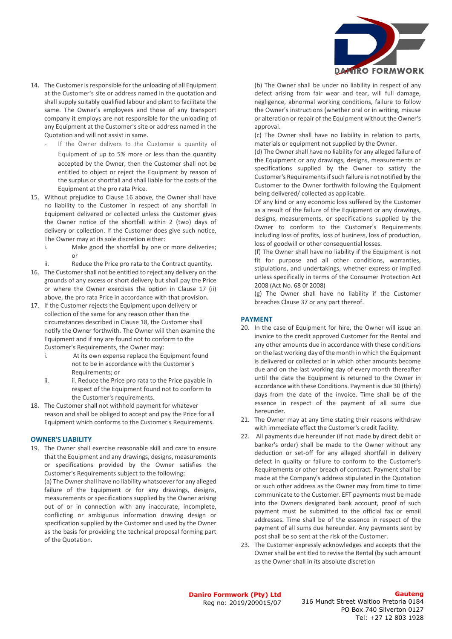

- 14. The Customer is responsible for the unloading of all Equipment at the Customer's site or address named in the quotation and shall supply suitably qualified labour and plant to facilitate the same. The Owner's employees and those of any transport company it employs are not responsible for the unloading of any Equipment at the Customer's site or address named in the Quotation and will not assist in same.
	- If the Owner delivers to the Customer a quantity of Equipment of up to 5% more or less than the quantity accepted by the Owner, then the Customer shall not be entitled to object or reject the Equipment by reason of the surplus or shortfall and shall liable for the costs of the Equipment at the pro rata Price.
- 15. Without prejudice to Clause 16 above, the Owner shall have no liability to the Customer in respect of any shortfall in Equipment delivered or collected unless the Customer gives the Owner notice of the shortfall within 2 (two) days of delivery or collection. If the Customer does give such notice, The Owner may at its sole discretion either:
	- i. Make good the shortfall by one or more deliveries; or

ii. Reduce the Price pro rata to the Contract quantity.

- 16. The Customer shall not be entitled to reject any delivery on the grounds of any excess or short delivery but shall pay the Price or where the Owner exercises the option in Clause 17 (ii) above, the pro rata Price in accordance with that provision.
- 17. If the Customer rejects the Equipment upon delivery or collection of the same for any reason other than the circumstances described in Clause 18, the Customer shall notify the Owner forthwith. The Owner will then examine the Equipment and if any are found not to conform to the Customer's Requirements, the Owner may:
	- i. At its own expense replace the Equipment found not to be in accordance with the Customer's Requirements; or
	- ii. ii. Reduce the Price pro rata to the Price payable in respect of the Equipment found not to conform to the Customer's requirements.
- 18. The Customer shall not withhold payment for whatever reason and shall be obliged to accept and pay the Price for all Equipment which conforms to the Customer's Requirements.

## **OWNER'S LIABILITY**

19. The Owner shall exercise reasonable skill and care to ensure that the Equipment and any drawings, designs, measurements or specifications provided by the Owner satisfies the Customer's Requirements subject to the following:

(a) The Owner shall have no liability whatsoever for any alleged failure of the Equipment or for any drawings, designs, measurements or specifications supplied by the Owner arising out of or in connection with any inaccurate, incomplete, conflicting or ambiguous information drawing design or specification supplied by the Customer and used by the Owner as the basis for providing the technical proposal forming part of the Quotation.

(b) The Owner shall be under no liability in respect of any defect arising from fair wear and tear, will full damage, negligence, abnormal working conditions, failure to follow the Owner's instructions (whether oral or in writing, misuse or alteration or repair of the Equipment without the Owner's approval.

(c) The Owner shall have no liability in relation to parts, materials or equipment not supplied by the Owner.

(d) The Owner shall have no liability for any alleged failure of the Equipment or any drawings, designs, measurements or specifications supplied by the Owner to satisfy the Customer's Requirements if such failure is not notified by the Customer to the Owner forthwith following the Equipment being delivered/ collected as applicable.

Of any kind or any economic loss suffered by the Customer as a result of the failure of the Equipment or any drawings, designs, measurements, or specifications supplied by the Owner to conform to the Customer's Requirements including loss of profits, loss of business, loss of production, loss of goodwill or other consequential losses.

(f) The Owner shall have no liability if the Equipment is not fit for purpose and all other conditions, warranties, stipulations, and undertakings, whether express or implied unless specifically in terms of the Consumer Protection Act 2008 (Act No. 68 0f 2008)

(g) The Owner shall have no liability if the Customer breaches Clause 37 or any part thereof.

# **PAYMENT**

- 20. In the case of Equipment for hire, the Owner will issue an invoice to the credit approved Customer for the Rental and any other amounts due in accordance with these conditions on the last working day of the month in which the Equipment is delivered or collected or in which other amounts become due and on the last working day of every month thereafter until the date the Equipment is returned to the Owner in accordance with these Conditions. Payment is due 30 (thirty) days from the date of the invoice. Time shall be of the essence in respect of the payment of all sums due hereunder.
- 21. The Owner may at any time stating their reasons withdraw with immediate effect the Customer's credit facility.
- 22. All payments due hereunder (if not made by direct debit or banker's order) shall be made to the Owner without any deduction or set-off for any alleged shortfall in delivery defect in quality or failure to conform to the Customer's Requirements or other breach of contract. Payment shall be made at the Company's address stipulated in the Quotation or such other address as the Owner may from time to time communicate to the Customer. EFT payments must be made into the Owners designated bank account, proof of such payment must be submitted to the official fax or email addresses. Time shall be of the essence in respect of the payment of all sums due hereunder. Any payments sent by post shall be so sent at the risk of the Customer.
- 23. The Customer expressly acknowledges and accepts that the Owner shall be entitled to revise the Rental (by such amount as the Owner shall in its absolute discretion

**Daniro Formwork (Pty) Ltd** Reg no: 2019/209015/07

316 Mundt Street Waltloo Pretoria 0184 PO Box 740 Silverton 0127 Tel: +27 12 803 1928

## **Gauteng**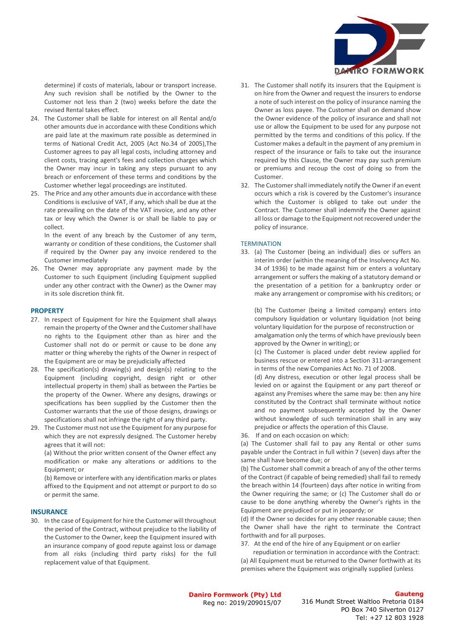

determine) if costs of materials, labour or transport increase. Any such revision shall be notified by the Owner to the Customer not less than 2 (two) weeks before the date the revised Rental takes effect.

- 24. The Customer shall be liable for interest on all Rental and/o other amounts due in accordance with these Conditions which are paid late at the maximum rate possible as determined in terms of National Credit Act, 2005 (Act No.34 of 2005),The Customer agrees to pay all legal costs, including attorney and client costs, tracing agent's fees and collection charges which the Owner may incur in taking any steps pursuant to any breach or enforcement of these terms and conditions by the Customer whether legal proceedings are instituted.
- 25. The Price and any other amounts due in accordance with these Conditions is exclusive of VAT, if any, which shall be due at the rate prevailing on the date of the VAT invoice, and any other tax or levy which the Owner is or shall be liable to pay or collect.

In the event of any breach by the Customer of any term, warranty or condition of these conditions, the Customer shall if required by the Owner pay any invoice rendered to the Customer immediately

26. The Owner may appropriate any payment made by the Customer to such Equipment (including Equipment supplied under any other contract with the Owner) as the Owner may in its sole discretion think fit.

### **PROPERTY**

- 27. In respect of Equipment for hire the Equipment shall always remain the property of the Owner and the Customer shall have no rights to the Equipment other than as hirer and the Customer shall not do or permit or cause to be done any matter or thing whereby the rights of the Owner in respect of the Equipment are or may be prejudicially affected
- 28. The specification(s) drawing(s) and design(s) relating to the Equipment (including copyright, design right or other intellectual property in them) shall as between the Parties be the property of the Owner. Where any designs, drawings or specifications has been supplied by the Customer then the Customer warrants that the use of those designs, drawings or specifications shall not infringe the right of any third party.
- 29. The Customer must not use the Equipment for any purpose for which they are not expressly designed. The Customer hereby agrees that it will not:

(a) Without the prior written consent of the Owner effect any modification or make any alterations or additions to the Equipment; or

(b) Remove or interfere with any identification marks or plates affixed to the Equipment and not attempt or purport to do so or permit the same.

### **INSURANCE**

30. In the case of Equipment for hire the Customer will throughout the period of the Contract, without prejudice to the liability of the Customer to the Owner, keep the Equipment insured with an insurance company of good repute against loss or damage from all risks (including third party risks) for the full replacement value of that Equipment.

- 31. The Customer shall notify its insurers that the Equipment is on hire from the Owner and request the insurers to endorse a note of such interest on the policy of insurance naming the Owner as loss payee. The Customer shall on demand show the Owner evidence of the policy of insurance and shall not use or allow the Equipment to be used for any purpose not permitted by the terms and conditions of this policy. If the Customer makes a default in the payment of any premium in respect of the insurance or fails to take out the insurance required by this Clause, the Owner may pay such premium or premiums and recoup the cost of doing so from the Customer.
- 32. The Customer shall immediately notify the Owner if an event occurs which a risk is covered by the Customer's insurance which the Customer is obliged to take out under the Contract. The Customer shall indemnify the Owner against all loss or damage to the Equipment not recovered under the policy of insurance.

### **TERMINATION**

33. (a) The Customer (being an individual) dies or suffers an interim order (within the meaning of the Insolvency Act No. 34 of 1936) to be made against him or enters a voluntary arrangement or suffers the making of a statutory demand or the presentation of a petition for a bankruptcy order or make any arrangement or compromise with his creditors; or

(b) The Customer (being a limited company) enters into compulsory liquidation or voluntary liquidation (not being voluntary liquidation for the purpose of reconstruction or amalgamation only the terms of which have previously been approved by the Owner in writing); or

(c) The Customer is placed under debt review applied for business rescue or entered into a Section 311-arrangement in terms of the new Companies Act No. 71 of 2008.

(d) Any distress, execution or other legal process shall be levied on or against the Equipment or any part thereof or against any Premises where the same may be: then any hire constituted by the Contract shall terminate without notice and no payment subsequently accepted by the Owner without knowledge of such termination shall in any way prejudice or affects the operation of this Clause.

36. If and on each occasion on which:

(a) The Customer shall fail to pay any Rental or other sums payable under the Contract in full within 7 (seven) days after the same shall have become due; or

(b) The Customer shall commit a breach of any of the other terms of the Contract (if capable of being remedied) shall fail to remedy the breach within 14 (fourteen) days after notice in writing from the Owner requiring the same; or (c) The Customer shall do or cause to be done anything whereby the Owner's rights in the Equipment are prejudiced or put in jeopardy; or

(d) If the Owner so decides for any other reasonable cause; then the Owner shall have the right to terminate the Contract forthwith and for all purposes.

37. At the end of the hire of any Equipment or on earlier

 repudiation or termination in accordance with the Contract: (a) All Equipment must be returned to the Owner forthwith at its premises where the Equipment was originally supplied (unless

**Daniro Formwork (Pty) Ltd** Reg no: 2019/209015/07 **Gauteng**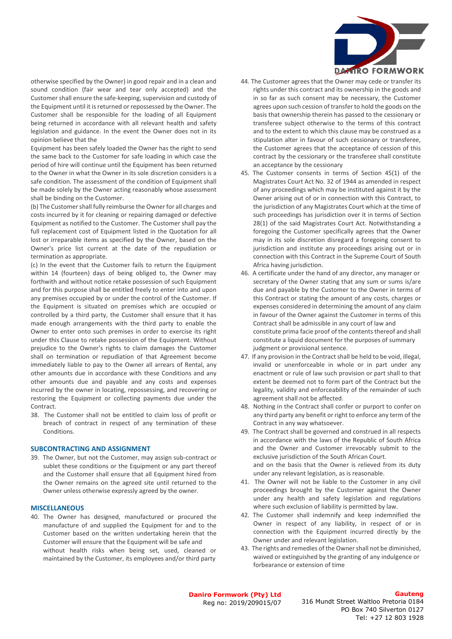

otherwise specified by the Owner) in good repair and in a clean and sound condition (fair wear and tear only accepted) and the Customer shall ensure the safe-keeping, supervision and custody of the Equipment until it is returned or repossessed by the Owner. The Customer shall be responsible for the loading of all Equipment being returned in accordance with all relevant health and safety legislation and guidance. In the event the Owner does not in its opinion believe that the

Equipment has been safely loaded the Owner has the right to send the same back to the Customer for safe loading in which case the period of hire will continue until the Equipment has been returned to the Owner in what the Owner in its sole discretion considers is a safe condition. The assessment of the condition of Equipment shall be made solely by the Owner acting reasonably whose assessment shall be binding on the Customer.

(b) The Customer shall fully reimburse the Owner for all charges and costs incurred by it for cleaning or repairing damaged or defective Equipment as notified to the Customer. The Customer shall pay the full replacement cost of Equipment listed in the Quotation for all lost or irreparable items as specified by the Owner, based on the Owner's price list current at the date of the repudiation or termination as appropriate.

(c) In the event that the Customer fails to return the Equipment within 14 (fourteen) days of being obliged to, the Owner may forthwith and without notice retake possession of such Equipment and for this purpose shall be entitled freely to enter into and upon any premises occupied by or under the control of the Customer. If the Equipment is situated on premises which are occupied or controlled by a third party, the Customer shall ensure that it has made enough arrangements with the third party to enable the Owner to enter onto such premises in order to exercise its right under this Clause to retake possession of the Equipment. Without prejudice to the Owner's rights to claim damages the Customer shall on termination or repudiation of that Agreement become immediately liable to pay to the Owner all arrears of Rental, any other amounts due in accordance with these Conditions and any other amounts due and payable and any costs and expenses incurred by the owner in locating, repossessing, and recovering or restoring the Equipment or collecting payments due under the Contract.

38. The Customer shall not be entitled to claim loss of profit or breach of contract in respect of any termination of these Conditions.

## **SUBCONTRACTING AND ASSIGNMENT**

39. The Owner, but not the Customer, may assign sub-contract or sublet these conditions or the Equipment or any part thereof and the Customer shall ensure that all Equipment hired from the Owner remains on the agreed site until returned to the Owner unless otherwise expressly agreed by the owner.

### **MISCELLANEOUS**

40. The Owner has designed, manufactured or procured the manufacture of and supplied the Equipment for and to the Customer based on the written undertaking herein that the Customer will ensure that the Equipment will be safe and without health risks when being set, used, cleaned or maintained by the Customer, its employees and/or third party

- 44. The Customer agrees that the Owner may cede or transfer its rights under this contract and its ownership in the goods and in so far as such consent may be necessary, the Customer agrees upon such cession of transfer to hold the goods on the basis that ownership therein has passed to the cessionary or transferee subject otherwise to the terms of this contract and to the extent to which this clause may be construed as a stipulation alter in favour of such cessionary or transferee, the Customer agrees that the acceptance of cession of this contract by the cessionary or the transferee shall constitute an acceptance by the cessionary
- 45. The Customer consents in terms of Section 45(1) of the Magistrates Court Act No. 32 of 1944 as amended in respect of any proceedings which may be instituted against it by the Owner arising out of or in connection with this Contract, to the jurisdiction of any Magistrates Court which at the time of such proceedings has jurisdiction over it in terms of Section 28(1) of the said Magistrates Court Act. Notwithstanding a foregoing the Customer specifically agrees that the Owner may in its sole discretion disregard a foregoing consent to jurisdiction and institute any proceedings arising out or in connection with this Contract in the Supreme Court of South Africa having jurisdiction.
- 46. A certificate under the hand of any director, any manager or secretary of the Owner stating that any sum or sums is/are due and payable by the Customer to the Owner in terms of this Contract or stating the amount of any costs, charges or expenses considered in determining the amount of any claim in favour of the Owner against the Customer in terms of this Contract shall be admissible in any court of law and constitute prima facie proof of the contents thereof and shall constitute a liquid document for the purposes of summary judgment or provisional sentence.
- 47. If any provision in the Contract shall be held to be void, illegal, invalid or unenforceable in whole or in part under any enactment or rule of law such provision or part shall to that extent be deemed not to form part of the Contract but the legality, validity and enforceability of the remainder of such agreement shall not be affected.
- 48. Nothing in the Contract shall confer or purport to confer on any third party any benefit or right to enforce any term of the Contract in any way whatsoever.
- 49. The Contract shall be governed and construed in all respects in accordance with the laws of the Republic of South Africa and the Owner and Customer irrevocably submit to the exclusive jurisdiction of the South African Court. and on the basis that the Owner is relieved from its duty under any relevant legislation, as is reasonable.
- 41. The Owner will not be liable to the Customer in any civil proceedings brought by the Customer against the Owner under any health and safety legislation and regulations where such exclusion of liability is permitted by law.
- 42. The Customer shall indemnify and keep indemnified the Owner in respect of any liability, in respect of or in connection with the Equipment incurred directly by the Owner under and relevant legislation.
- 43. The rights and remedies of the Owner shall not be diminished, waived or extinguished by the granting of any indulgence or forbearance or extension of time

**Daniro Formwork (Pty) Ltd** Reg no: 2019/209015/07